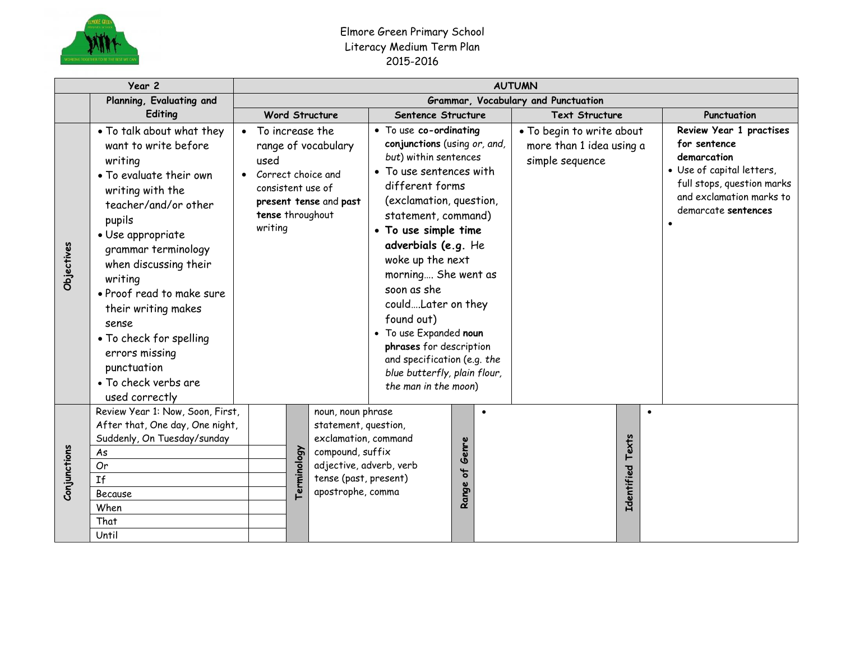

## Elmore Green Primary School Literacy Medium Term Plan 2015-2016

| Year 2       |                                                                                                                                                                                                                                                                                                                                                                                                  | <b>AUTUMN</b>                                                                                       |                                                                                                                                                                               |                                                                                                                                                                                                                                                                                                                                                                                                                                                                          |                                  |                                                                          |                                                                                                                                                                      |  |  |  |  |
|--------------|--------------------------------------------------------------------------------------------------------------------------------------------------------------------------------------------------------------------------------------------------------------------------------------------------------------------------------------------------------------------------------------------------|-----------------------------------------------------------------------------------------------------|-------------------------------------------------------------------------------------------------------------------------------------------------------------------------------|--------------------------------------------------------------------------------------------------------------------------------------------------------------------------------------------------------------------------------------------------------------------------------------------------------------------------------------------------------------------------------------------------------------------------------------------------------------------------|----------------------------------|--------------------------------------------------------------------------|----------------------------------------------------------------------------------------------------------------------------------------------------------------------|--|--|--|--|
|              | Planning, Evaluating and                                                                                                                                                                                                                                                                                                                                                                         | Grammar, Vocabulary and Punctuation                                                                 |                                                                                                                                                                               |                                                                                                                                                                                                                                                                                                                                                                                                                                                                          |                                  |                                                                          |                                                                                                                                                                      |  |  |  |  |
|              | Editing<br><b>Word Structure</b>                                                                                                                                                                                                                                                                                                                                                                 |                                                                                                     |                                                                                                                                                                               | Sentence Structure                                                                                                                                                                                                                                                                                                                                                                                                                                                       |                                  | <b>Text Structure</b>                                                    | Punctuation                                                                                                                                                          |  |  |  |  |
| Objectives   | • To talk about what they<br>want to write before<br>writing<br>• To evaluate their own<br>writing with the<br>teacher/and/or other<br>pupils<br>· Use appropriate<br>grammar terminology<br>when discussing their<br>writing<br>• Proof read to make sure<br>their writing makes<br>sense<br>• To check for spelling<br>errors missing<br>punctuation<br>• To check verbs are<br>used correctly | • To increase the<br>used<br>Correct choice and<br>consistent use of<br>tense throughout<br>writing | range of vocabulary<br>present tense and past                                                                                                                                 | • To use co-ordinating<br>conjunctions (using or, and,<br>but) within sentences<br>• To use sentences with<br>different forms<br>(exclamation, question,<br>statement, command)<br>• To use simple time<br>adverbials (e.g. He<br>woke up the next<br>morning She went as<br>soon as she<br>couldLater on they<br>found out)<br>• To use Expanded noun<br>phrases for description<br>and specification (e.g. the<br>blue butterfly, plain flour,<br>the man in the moon) |                                  | . To begin to write about<br>more than 1 idea using a<br>simple sequence | Review Year 1 practises<br>for sentence<br>demarcation<br>· Use of capital letters,<br>full stops, question marks<br>and exclamation marks to<br>demarcate sentences |  |  |  |  |
| Conjunctions | Review Year 1: Now, Soon, First,<br>After that, One day, One night,<br>Suddenly, On Tuesday/sunday<br>As<br>Or<br><b>If</b><br>Because<br>When<br>That<br>Until                                                                                                                                                                                                                                  |                                                                                                     | noun, noun phrase<br>statement, question,<br>exclamation, command<br>Terminology<br>compound, suffix<br>adjective, adverb, verb<br>tense (past, present)<br>apostrophe, comma |                                                                                                                                                                                                                                                                                                                                                                                                                                                                          | $\bullet$<br>Genre<br>ჼ<br>Range |                                                                          | $\bullet$<br>Texts<br>Identified                                                                                                                                     |  |  |  |  |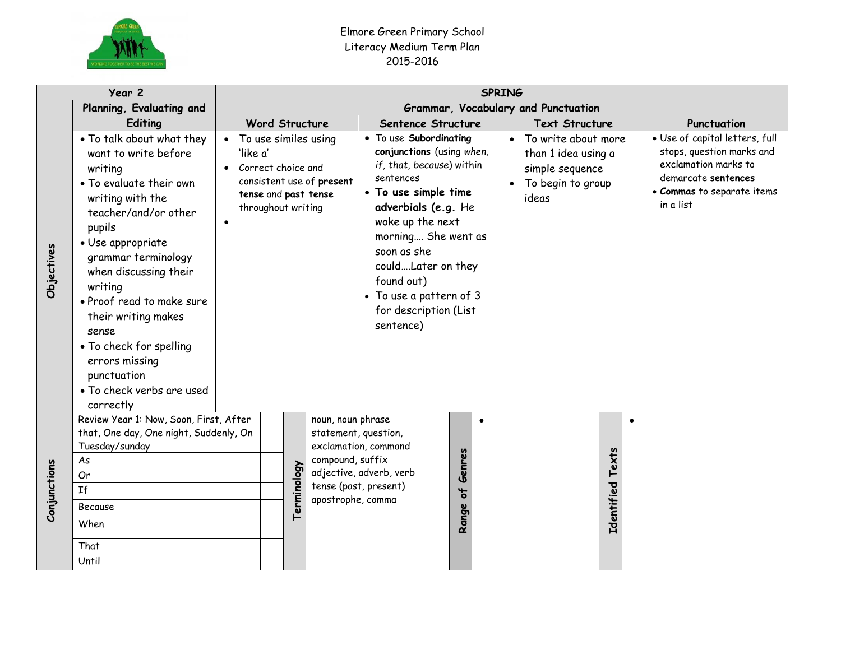

## Elmore Green Primary School Literacy Medium Term Plan 2015-2016

|              | Planning, Evaluating and<br>Editing<br>. To talk about what they                                                                                                                                                                                                                                                                                                    |                                                                                                                                     |                                     |             |                                                            | <b>SPRING</b>                                                                                                                                                                                                                                                                                               |           |                                                                                             |                                                                                                                                                       |  |  |  |  |  |
|--------------|---------------------------------------------------------------------------------------------------------------------------------------------------------------------------------------------------------------------------------------------------------------------------------------------------------------------------------------------------------------------|-------------------------------------------------------------------------------------------------------------------------------------|-------------------------------------|-------------|------------------------------------------------------------|-------------------------------------------------------------------------------------------------------------------------------------------------------------------------------------------------------------------------------------------------------------------------------------------------------------|-----------|---------------------------------------------------------------------------------------------|-------------------------------------------------------------------------------------------------------------------------------------------------------|--|--|--|--|--|
|              |                                                                                                                                                                                                                                                                                                                                                                     |                                                                                                                                     | Grammar, Vocabulary and Punctuation |             |                                                            |                                                                                                                                                                                                                                                                                                             |           |                                                                                             |                                                                                                                                                       |  |  |  |  |  |
|              |                                                                                                                                                                                                                                                                                                                                                                     |                                                                                                                                     |                                     |             | <b>Word Structure</b>                                      | Sentence Structure                                                                                                                                                                                                                                                                                          |           | <b>Text Structure</b>                                                                       | Punctuation                                                                                                                                           |  |  |  |  |  |
| Objectives   | want to write before<br>writing<br>• To evaluate their own<br>writing with the<br>teacher/and/or other<br>pupils<br>• Use appropriate<br>grammar terminology<br>when discussing their<br>writing<br>· Proof read to make sure<br>their writing makes<br>sense<br>• To check for spelling<br>errors missing<br>punctuation<br>• To check verbs are used<br>correctly | 'like a'<br>Correct choice and<br>$\bullet$<br>consistent use of present<br>tense and past tense<br>throughout writing<br>$\bullet$ |                                     |             | • To use similes using                                     | • To use Subordinating<br>conjunctions (using when,<br>if, that, because) within<br>sentences<br>• To use simple time<br>adverbials (e.g. He<br>woke up the next<br>morning She went as<br>soon as she<br>couldLater on they<br>found out)<br>• To use a pattern of 3<br>for description (List<br>sentence) | $\bullet$ | To write about more<br>than 1 idea using a<br>simple sequence<br>To begin to group<br>ideas | · Use of capital letters, full<br>stops, question marks and<br>exclamation marks to<br>demarcate sentences<br>• Commas to separate items<br>in a list |  |  |  |  |  |
| Conjunctions | Review Year 1: Now, Soon, First, After<br>that, One day, One night, Suddenly, On<br>Tuesday/sunday<br>As<br>Or<br><b>If</b><br>Because<br>When<br>That<br>Until                                                                                                                                                                                                     |                                                                                                                                     |                                     | Terminology | noun, noun phrase<br>compound, suffix<br>apostrophe, comma | $\bullet$<br>statement, question,<br>exclamation, command<br>Genres<br>adjective, adverb, verb<br>tense (past, present)<br>$\frac{1}{6}$<br>Range                                                                                                                                                           |           | $\bullet$<br>Texts<br>Identified                                                            |                                                                                                                                                       |  |  |  |  |  |